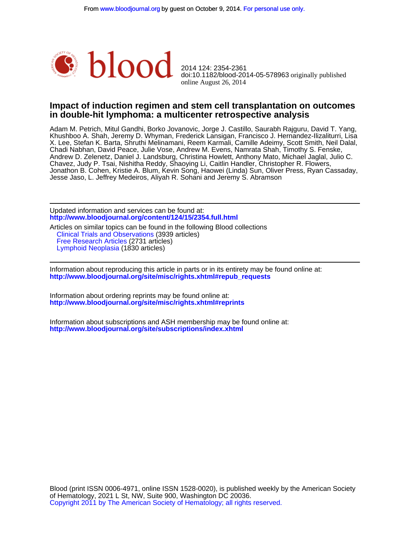

online August 26, 2014 doi:10.1182/blood-2014-05-578963 originally published 2014 124: 2354-2361

### **in double-hit lymphoma: a multicenter retrospective analysis Impact of induction regimen and stem cell transplantation on outcomes**

Jesse Jaso, L. Jeffrey Medeiros, Aliyah R. Sohani and Jeremy S. Abramson Jonathon B. Cohen, Kristie A. Blum, Kevin Song, Haowei (Linda) Sun, Oliver Press, Ryan Cassaday, Chavez, Judy P. Tsai, Nishitha Reddy, Shaoying Li, Caitlin Handler, Christopher R. Flowers, Andrew D. Zelenetz, Daniel J. Landsburg, Christina Howlett, Anthony Mato, Michael Jaglal, Julio C. Chadi Nabhan, David Peace, Julie Vose, Andrew M. Evens, Namrata Shah, Timothy S. Fenske, X. Lee, Stefan K. Barta, Shruthi Melinamani, Reem Karmali, Camille Adeimy, Scott Smith, Neil Dalal, Khushboo A. Shah, Jeremy D. Whyman, Frederick Lansigan, Francisco J. Hernandez-Ilizaliturri, Lisa Adam M. Petrich, Mitul Gandhi, Borko Jovanovic, Jorge J. Castillo, Saurabh Rajguru, David T. Yang,

**<http://www.bloodjournal.org/content/124/15/2354.full.html>** Updated information and services can be found at:

 [Lymphoid Neoplasia](http://www.bloodjournal.org/cgi/collection/lymphoid_neoplasia) (1830 articles) [Free Research Articles](http://www.bloodjournal.org/cgi/collection/free_research_articles) (2731 articles) [Clinical Trials and Observations](http://www.bloodjournal.org/cgi/collection/clinical_trials_and_observations) (3939 articles) Articles on similar topics can be found in the following Blood collections

**[http://www.bloodjournal.org/site/misc/rights.xhtml#repub\\_requests](http://www.bloodjournal.org/site/misc/rights.xhtml#repub_requests)** Information about reproducing this article in parts or in its entirety may be found online at:

**<http://www.bloodjournal.org/site/misc/rights.xhtml#reprints>** Information about ordering reprints may be found online at:

**<http://www.bloodjournal.org/site/subscriptions/index.xhtml>** Information about subscriptions and ASH membership may be found online at: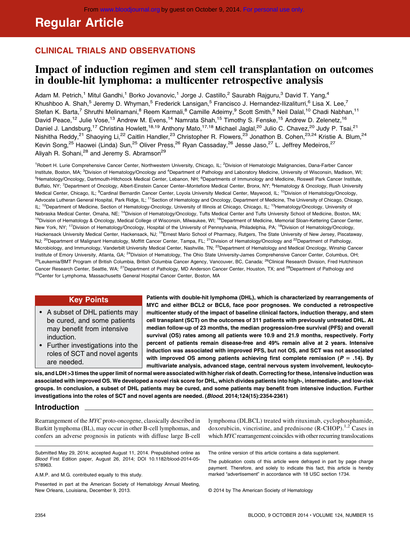# Regular Article

## CLINICAL TRIALS AND OBSERVATIONS

## Impact of induction regimen and stem cell transplantation on outcomes in double-hit lymphoma: a multicenter retrospective analysis

Adam M. Petrich,<sup>1</sup> Mitul Gandhi,<sup>1</sup> Borko Jovanovic,<sup>1</sup> Jorge J. Castillo,<sup>2</sup> Saurabh Rajguru,<sup>3</sup> David T. Yang,<sup>4</sup> Khushboo A. Shah,<sup>5</sup> Jeremy D. Whyman,<sup>5</sup> Frederick Lansigan,<sup>5</sup> Francisco J. Hernandez-Ilizaliturri,<sup>6</sup> Lisa X. Lee,<sup>7</sup> Stefan K. Barta,<sup>7</sup> Shruthi Melinamani,<sup>8</sup> Reem Karmali,<sup>8</sup> Camille Adeimy,<sup>9</sup> Scott Smith,<sup>9</sup> Neil Dalal,<sup>10</sup> Chadi Nabhan,<sup>11</sup> David Peace,<sup>12</sup> Julie Vose,<sup>13</sup> Andrew M. Evens,<sup>14</sup> Namrata Shah,<sup>15</sup> Timothy S. Fenske,<sup>15</sup> Andrew D. Zelenetz,<sup>16</sup> Daniel J. Landsburg,<sup>17</sup> Christina Howlett,<sup>18,19</sup> Anthony Mato,<sup>17,18</sup> Michael Jaglal,<sup>20</sup> Julio C. Chavez,<sup>20</sup> Judy P. Tsai,<sup>21</sup> Nishitha Reddy,<sup>21</sup> Shaoying Li,<sup>22</sup> Caitlin Handler,<sup>23</sup> Christopher R. Flowers,<sup>23</sup> Jonathon B. Cohen,<sup>23,24</sup> Kristie A. Blum,<sup>24</sup> Kevin Song,<sup>25</sup> Haowei (Linda) Sun,<sup>25</sup> Oliver Press,<sup>26</sup> Ryan Cassaday,<sup>26</sup> Jesse Jaso,<sup>27</sup> L. Jeffrey Medeiros,<sup>27</sup> Aliyah R. Sohani,<sup>28</sup> and Jeremy S. Abramson<sup>29</sup>

<sup>1</sup> Robert H. Lurie Comprehensive Cancer Center, Northwestern University, Chicago, IL; <sup>2</sup>Division of Hematologic Malignancies, Dana-Farber Cancer Institute, Boston, MA; <sup>3</sup>Division of Hematology/Oncology and <sup>4</sup>Department of Pathology and Laboratory Medicine, University of Wisconsin, Madison, WI; <sup>5</sup>Hematology/Oncology, Dartmouth-Hitchcock Medical Center, Lebanon, NH; <sup>6</sup>Departments of Immunology and Medicine, Roswell Park Cancer Institute, Buffalo, NY; <sup>7</sup>Department of Oncology, Albert-Einstein Cancer Center-Montefiore Medical Center, Bronx, NY; <sup>8</sup>Hematology & Oncology, Rush University Medical Center, Chicago, IL; <sup>9</sup>Cardinal Bernardin Cancer Center, Loyola University Medical Center, Maywood, IL; <sup>10</sup>Division of Hematology/Oncology, Advocate Lutheran General Hospital, Park Ridge, IL; <sup>11</sup>Section of Hematology and Oncology, Department of Medicine, The University of Chicago, Chicago, IL; <sup>12</sup>Department of Medicine, Section of Hematology-Oncology, University of Illinois at Chicago, Chicago, IL; <sup>13</sup>Hematology/Oncology, University of Nebraska Medical Center, Omaha, NE; 14Division of Hematology/Oncology, Tufts Medical Center and Tufts University School of Medicine, Boston, MA; <sup>15</sup>Division of Hematology & Oncology, Medical College of Wisconsin, Milwaukee, WI; <sup>16</sup>Department of Medicine, Memorial Sloan-Kettering Cancer Center, New York, NY; <sup>17</sup>Division of Hematology/Oncology, Hospital of the University of Pennsylvania, Philadelphia, PA; <sup>18</sup>Division of Hematology/Oncology, Hackensack University Medical Center, Hackensack, NJ; <sup>19</sup>Ernest Mario School of Pharmacy, Rutgers, The State University of New Jersey, Piscataway, NJ; <sup>20</sup>Department of Malignant Hematology, Moffitt Cancer Center, Tampa, FL; <sup>21</sup>Division of Hematology/Oncology and <sup>22</sup>Department of Pathology, Microbiology, and Immunology, Vanderbilt University Medical Center, Nashville, TN; <sup>23</sup>Department of Hematology and Medical Oncology, Winship Cancer Institute of Emory University, Atlanta, GA; 24Division of Hematology, The Ohio State University-James Comprehensive Cancer Center, Columbus, OH; <sup>25</sup>Leukemia/BMT Program of British Columbia, British Columbia Cancer Agency, Vancouver, BC, Canada; <sup>26</sup>Clinical Research Division, Fred Hutchinson Cancer Research Center, Seattle, WA; <sup>27</sup>Department of Pathology, MD Anderson Cancer Center, Houston, TX; and <sup>28</sup>Department of Pathology and <sup>29</sup>Center for Lymphoma, Massachusetts General Hospital Cancer Center, Boston, MA

#### Key Points

- A subset of DHL patients may be cured, and some patients may benefit from intensive induction.
- Further investigations into the roles of SCT and novel agents are needed.

Patients with double-hit lymphoma (DHL), which is characterized by rearrangements of MYC and either BCL2 or BCL6, face poor prognoses. We conducted a retrospective multicenter study of the impact of baseline clinical factors, induction therapy, and stem cell transplant (SCT) on the outcomes of 311 patients with previously untreated DHL. At median follow-up of 23 months, the median progression-free survival (PFS) and overall survival (OS) rates among all patients were 10.9 and 21.9 months, respectively. Forty percent of patients remain disease-free and 49% remain alive at 2 years. Intensive induction was associated with improved PFS, but not OS, and SCT was not associated with improved OS among patients achieving first complete remission ( $P = .14$ ). By multivariate analysis, advanced stage, central nervous system involvement, leukocyto-

sis, and LDH >3 times the upper limit of normal were associated with higher risk of death. Correcting for these, intensive induction was associated with improved OS. We developed a novel risk score for DHL, which divides patients into high-, intermediate-, and low-risk groups. In conclusion, a subset of DHL patients may be cured, and some patients may benefit from intensive induction. Further investigations into the roles of SCT and novel agents are needed. (Blood. 2014;124(15):2354-2361)

### Introduction

Rearrangement of the MYC proto-oncogene, classically described in Burkitt lymphoma (BL), may occur in other B-cell lymphomas, and confers an adverse prognosis in patients with diffuse large B-cell

Submitted May 29, 2014; accepted August 11, 2014. Prepublished online as Blood First Edition paper, August 26, 2014; DOI 10.1182/blood-2014-05- 578963.

A.M.P. and M.G. contributed equally to this study.

Presented in part at the American Society of Hematology Annual Meeting, New Orleans, Louisiana, December 9, 2013.

lymphoma (DLBCL) treated with rituximab, cyclophosphamide, doxorubicin, vincristine, and prednisone  $(R$ -CHOP).<sup>1,2</sup> Cases in which MYC rearrangement coincides with other recurring translocations

The online version of this article contains a data supplement.

The publication costs of this article were defrayed in part by page charge payment. Therefore, and solely to indicate this fact, this article is hereby marked "advertisement" in accordance with 18 USC section 1734.

© 2014 by The American Society of Hematology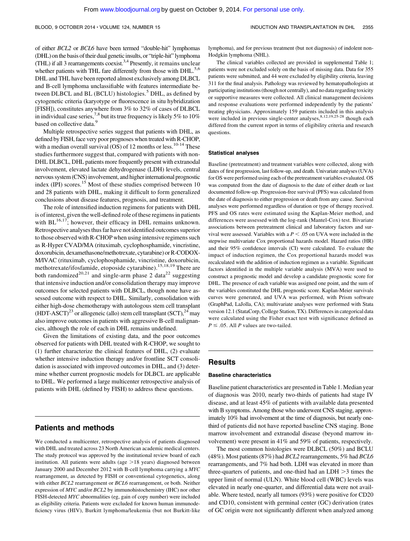of either BCL2 or BCL6 have been termed "double-hit" lymphomas (DHL) on the basis of their dual genetic insults, or "triple-hit" lymphoma (THL) if all 3 rearrangements coexist.<sup>3,4</sup> Presently, it remains unclear whether patients with THL fare differently from those with DHL.<sup>5,6</sup> DHL and THL have been reported almost exclusively among DLBCL and B-cell lymphoma unclassifiable with features intermediate between DLBCL and BL (BCLU) histologies.<sup>5</sup> DHL, as defined by cytogenetic criteria (karyotype or fluorescence in situ hybridization [FISH]), constitutes anywhere from 3% to 32% of cases of DLBCL in individual case series,<sup>7,8</sup> but its true frequency is likely 5% to 10% based on collective data.<sup>9</sup>

Multiple retrospective series suggest that patients with DHL, as defined by FISH, face very poor prognoses when treated with R-CHOP, with a median overall survival  $(OS)$  of 12 months or less.<sup>10-14</sup> These studies furthermore suggest that, compared with patients with non-DHL DLBCL, DHL patients more frequently present with extranodal involvement, elevated lactate dehydrogenase (LDH) levels, central nervous system (CNS) involvement, and higher international prognostic index (IPI) scores.<sup>15</sup> Most of these studies comprised between 10 and 28 patients with DHL, making it difficult to form generalized conclusions about disease features, prognosis, and treatment.

The role of intensified induction regimens for patients with DHL is of interest, given the well-defined role of these regimens in patients with  $BL^{16,17}$ ; however, their efficacy in DHL remains unknown. Retrospective analyses thus far have not identified outcomes superior to those observed with R-CHOP when using intensive regimens such as R-Hyper CVAD/MA (rituximab, cyclophosphamide, vincristine, doxorubicin, dexamethasone/methotrexate, cytarabine) or R-CODOX-M/IVAC (rituximab, cyclophosphamide, vincristine, doxorubicin, methotrexate/ifosfamide, etoposide cytarabine).15,18,19 There are both randomized<sup>20,21</sup> and single-arm phase 2 data<sup>22</sup> suggesting that intensive induction and/or consolidation therapy may improve outcomes for selected patients with DLBCL, though none have assessed outcome with respect to DHL. Similarly, consolidation with either high-dose chemotherapy with autologous stem cell transplant (HDT-ASCT)<sup>23</sup> or allogeneic (allo) stem cell transplant (SCT),<sup>24</sup> may also improve outcomes in patients with aggressive B-cell malignancies, although the role of each in DHL remains undefined.

Given the limitations of existing data, and the poor outcomes observed for patients with DHL treated with R-CHOP, we sought to (1) further characterize the clinical features of DHL, (2) evaluate whether intensive induction therapy and/or frontline SCT consolidation is associated with improved outcomes in DHL, and (3) determine whether current prognostic models for DLBCL are applicable to DHL. We performed a large multicenter retrospective analysis of patients with DHL (defined by FISH) to address these questions.

### Patients and methods

We conducted a multicenter, retrospective analysis of patients diagnosed with DHL and treated across 23 North American academic medical centers. The study protocol was approved by the institutional review board of each institution. All patients were adults (age  $>18$  years) diagnosed between January 2000 and December 2012 with B-cell lymphoma carrying a MYC rearrangement, as detected by FISH or conventional cytogenetics, along with either BCL2 rearrangement or BCL6 rearrangement, or both. Neither expression of MYC and/or BCL2 by immunohistochemistry (IHC) nor other FISH-detected MYC abnormalities (eg, gain of copy number) were included as eligibility criteria. Patients were excluded for known human immunodeficiency virus (HIV), Burkitt lymphoma/leukemia (but not Burkitt-like

lymphoma), and for previous treatment (but not diagnosis) of indolent non-Hodgkin lymphoma (NHL).

The clinical variables collected are provided in supplemental Table 1; patients were not excluded solely on the basis of missing data. Data for 355 patients were submitted, and 44 were excluded by eligibility criteria, leaving 311 for the final analysis. Pathology was reviewed by hematopathologists at participating institutions (though not centrally), and no data regarding toxicity or supportive measures were collected. All clinical management decisions and response evaluations were performed independently by the patients' treating physicians. Approximately 159 patients included in this analysis were included in previous single-center analyses,  $8,12,19,25-28$  though each differed from the current report in terms of eligibility criteria and research questions.

#### Statistical analyses

Baseline (pretreatment) and treatment variables were collected, along with dates of first progression, last follow-up, and death. Univariate analyses (UVA) for OS were performed using each of the pretreatment variables evaluated. OS was computed from the date of diagnosis to the date of either death or last documented follow-up. Progression-free survival (PFS) was calculated from the date of diagnosis to either progression or death from any cause. Survival analyses were performed regardless of duration or type of therapy received. PFS and OS rates were estimated using the Kaplan-Meier method, and differences were assessed with the log-rank (Mantel-Cox) test. Bivariate associations between pretreatment clinical and laboratory factors and survival were assessed. Variables with a  $P < .05$  on UVA were included in the stepwise multivariate Cox proportional hazards model. Hazard ratios (HR) and their 95% confidence intervals (CI) were calculated. To evaluate the impact of induction regimen, the Cox proportional hazards model was recalculated with the addition of induction regimen as a variable. Significant factors identified in the multiple variable analysis (MVA) were used to construct a prognostic model and develop a candidate prognostic score for DHL. The presence of each variable was assigned one point, and the sum of the variables constituted the DHL prognostic score. Kaplan-Meier survivals curves were generated, and UVA was performed, with Prism software (GraphPad, LaJolla, CA); multivariate analyses were performed with Stata version 12.1 (StataCorp, College Station, TX). Differences in categorical data were calculated using the Fisher exact test with significance defined as  $P \leq .05$ . All P values are two-tailed.

### Results

#### Baseline characteristics

Baseline patient characteristics are presented in Table 1. Median year of diagnosis was 2010, nearly two-thirds of patients had stage IV disease, and at least 45% of patients with available data presented with B symptoms. Among those who underwent CNS staging, approximately 10% had involvement at the time of diagnosis, but nearly onethird of patients did not have reported baseline CNS staging. Bone marrow involvement and extranodal disease (beyond marrow involvement) were present in 41% and 59% of patients, respectively.

The most common histologies were DLBCL (50%) and BCLU (48%). Most patients (87%) had BCL2 rearrangements, 5% had BCL6 rearrangements, and 7% had both. LDH was elevated in more than three-quarters of patients, and one-third had an  $LDH \geq 3$  times the upper limit of normal (ULN). White blood cell (WBC) levels was elevated in nearly one-quarter, and differential data were not available. Where tested, nearly all tumors (93%) were positive for CD20 and CD10, consistent with germinal center (GC) derivation (rates of GC origin were not significantly different when analyzed among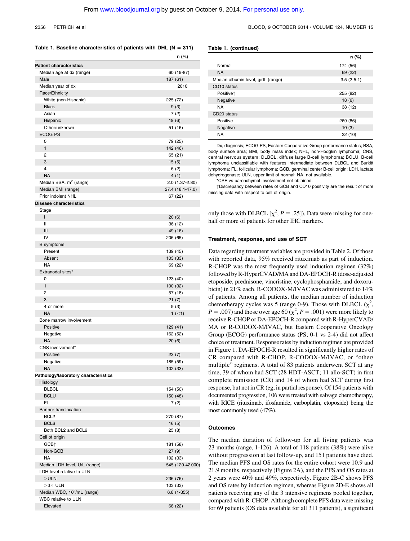$n<sub>0</sub>$ 

#### 2356 PETRICH et al BLOOD, 9 OCTOBER 2014 • VOLUME 124, NUMBER 15

#### Table 1. Baseline characteristics of patients with DHL ( $N = 311$ )

|                                         | '' ( / 0)        |
|-----------------------------------------|------------------|
| <b>Patient characteristics</b>          |                  |
| Median age at dx (range)                | 60 (19-87)       |
| Male                                    | 187 (61)         |
| Median year of dx                       | 2010             |
| Race/Ethnicity                          |                  |
| White (non-Hispanic)                    | 225 (72)         |
| <b>Black</b>                            | 9(3)             |
| Asian                                   | 7(2)             |
| Hispanic<br>Other/unknown               | 19(6)            |
| <b>ECOG PS</b>                          | 51 (16)          |
| 0                                       | 79 (25)          |
| 1                                       | 142 (46)         |
| 2                                       | 65 (21)          |
| 3                                       | 15(5)            |
| 4                                       | 6(2)             |
| <b>NA</b>                               | 4(1)             |
| Median BSA, m <sup>2</sup> (range)      | 2.0 (1.37-2.80)  |
| Median BMI (range)                      | 27.4 (18.1-47.0) |
| Prior indolent NHL                      | 67 (22)          |
| <b>Disease characteristics</b>          |                  |
| Stage                                   |                  |
| L                                       | 20(6)            |
| $\mathbf{I}$                            | 36 (12)          |
| Ш                                       | 49 (16)          |
| IV                                      | 206 (65)         |
| <b>B</b> symptoms                       |                  |
| Present                                 | 139 (45)         |
| Absent                                  | 103 (33)         |
| NA<br>Extranodal sites*                 | 69 (22)          |
| 0                                       | 123 (40)         |
| 1                                       | 100 (32)         |
| 2                                       | 57 (18)          |
| 3                                       | 21(7)            |
| 4 or more                               | 9(3)             |
| <b>NA</b>                               | $1$ (<1)         |
| Bone marrow involvement                 |                  |
| Positive                                | 129 (41)         |
| Negative                                | 162 (52)         |
| <b>NA</b>                               | 20(6)            |
| CNS involvement*                        |                  |
| Positive                                | 23(7)            |
| Negative                                | 185 (59)         |
| ΝA                                      | 102 (33)         |
| Pathology/laboratory characteristics    |                  |
| Histology                               |                  |
| <b>DLBCL</b>                            | 154 (50)         |
| <b>BCLU</b><br>FL                       | 150 (48)         |
| Partner translocation                   | 7 (2)            |
| BCL <sub>2</sub>                        | 270 (87)         |
| BCL6                                    | 16(5)            |
| Both BCL2 and BCL6                      | 25(8)            |
| Cell of origin                          |                  |
| GCB+                                    | 181 (58)         |
| Non-GCB                                 | 27(9)            |
| ΝA                                      | 102 (33)         |
| Median LDH level, U/L (range)           | 545 (120-42 000) |
| LDH level relative to ULN               |                  |
| $>$ ULN                                 | 236 (76)         |
| $>3\times$ ULN                          | 103 (33)         |
| Median WBC, 10 <sup>3</sup> /mL (range) | $6.8(1-355)$     |
| WBC relative to ULN                     |                  |
| Elevated                                | 68 (22)          |

#### Table 1. (continued)

|                                    | n (%)        |
|------------------------------------|--------------|
| Normal                             | 174 (56)     |
| <b>NA</b>                          | 69 (22)      |
| Median albumin level, g/dL (range) | $3.5(2-5.1)$ |
| CD <sub>10</sub> status            |              |
| Positive <sup>+</sup>              | 255 (82)     |
| Negative                           | 18(6)        |
| <b>NA</b>                          | 38 (12)      |
| CD <sub>20</sub> status            |              |
| Positive                           | 269 (86)     |
| Negative                           | 10(3)        |
| <b>NA</b>                          | 32(10)       |

Dx, diagnosis; ECOG PS, Eastern Cooperative Group performance status; BSA, body surface area; BMI, body mass index; NHL, non-Hodgkin lymphoma; CNS, central nervous system; DLBCL, diffuse large B-cell lymphoma; BCLU, B-cell lymphoma unclassifiable with features intermediate between DLBCL and Burkitt lymphoma; FL, follicular lymphoma; GCB, germinal center B-cell origin; LDH, lactate dehydrogenase; ULN, upper limit of normal; NA, not available.

\*CSF vs parenchymal involvement not obtained.

†Discrepancy between rates of GCB and CD10 positivity are the result of more missing data with respect to cell of origin.

only those with DLBCL  $[\chi^2, P = .25]$ ). Data were missing for onehalf or more of patients for other IHC markers.

#### Treatment, response, and use of SCT

Data regarding treatment variables are provided in Table 2. Of those with reported data, 95% received rituximab as part of induction. R-CHOP was the most frequently used induction regimen (32%) followed by R-HyperCVAD/MA and DA-EPOCH-R (dose-adjusted etoposide, prednisone, vincristine, cyclophosphamide, and doxorubicin) in 21% each. R-CODOX-M/IVAC was administered to 14% of patients. Among all patients, the median number of induction chemotherapy cycles was 5 (range 0-9). Those with DLBCL  $(\chi^2,$  $P = .007$ ) and those over age 60 ( $\chi^2$ ,  $P = .001$ ) were more likely to receive R-CHOP or DA-EPOCH-R compared with R-HyperCVAD/ MA or R-CODOX-M/IVAC, but Eastern Cooperative Oncology Group (ECOG) performance status (PS; 0-1 vs 2-4) did not affect choice of treatment. Response rates by induction regimen are provided in Figure 1. DA-EPOCH-R resulted in significantly higher rates of CR compared with R-CHOP, R-CODOX-M/IVAC, or "other/ multiple" regimens. A total of 83 patients underwent SCT at any time, 39 of whom had SCT (28 HDT-ASCT; 11 allo-SCT) in first complete remission (CR) and 14 of whom had SCT during first response, but not in CR (eg, in partial response). Of 154 patients with documented progression, 106 were treated with salvage chemotherapy, with RICE (rituximab, ifosfamide, carboplatin, etoposide) being the most commonly used (47%).

#### **Outcomes**

The median duration of follow-up for all living patients was 23 months (range, 1-126). A total of 118 patients (38%) were alive without progression at last follow-up, and 151 patients have died. The median PFS and OS rates for the entire cohort were 10.9 and 21.9 months, respectively (Figure 2A), and the PFS and OS rates at 2 years were 40% and 49%, respectively. Figure 2B-C shows PFS and OS rates by induction regimen, whereas Figure 2D-E shows all patients receiving any of the 3 intensive regimens pooled together, compared with R-CHOP. Although complete PFS data were missing for 69 patients (OS data available for all 311 patients), a significant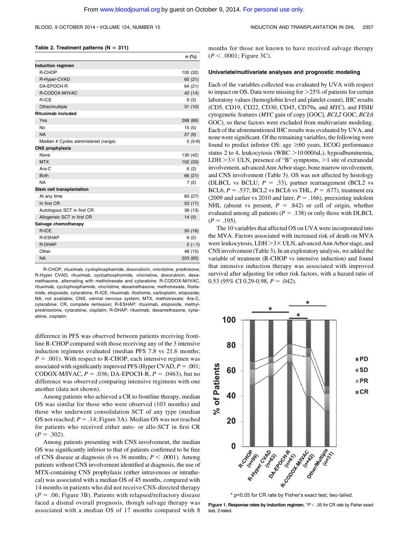$n = 100$ 

#### BLOOD, 9 OCTOBER 2014 · VOLUME 124, NUMBER 15 **INDUCTION AND TRANSPLANTATION IN DHL** 2357

#### Table 2. Treatment patterns ( $N = 311$ )

|                                      | п (%)    |
|--------------------------------------|----------|
| <b>Induction regimen</b>             |          |
| R-CHOP                               | 100 (32) |
| R-Hyper-CVAD                         | 65 (21)  |
| DA-EPOCH-R                           | 64 (21)  |
| R-CODOX-M/IVAC                       | 42 (14)  |
| R-ICE                                | 9(3)     |
| Other/multiple                       | 31(10)   |
| <b>Rituximab included</b>            |          |
| Yes                                  | 268 (86) |
| <b>No</b>                            | 15(5)    |
| <b>NA</b>                            | 27(9)    |
| Median # Cycles administered (range) | $5(0-9)$ |
| <b>CNS prophylaxis</b>               |          |
| None                                 | 130 (42) |
| <b>MTX</b>                           | 102 (33) |
| Ara-C                                | 6(2)     |
| <b>Both</b>                          | 66 (21)  |
| <b>NA</b>                            | 7(2)     |
| Stem cell transplantation            |          |
| At any time                          | 83 (27)  |
| In first CR                          | 53 (17)  |
| Autologous SCT in first CR           | 39(13)   |
| Allogeneic SCT in first CR           | 14(5)    |
| Salvage chemotherapy                 |          |
| R-ICE                                | 50(16)   |
| <b>R-ESHAP</b>                       | 6(2)     |
| R-DHAP                               | $2 (-1)$ |
| Other                                | 48 (15)  |
| <b>NA</b>                            | 203 (65) |

R-CHOP, rituximab, cyclophosphamide, doxorubicin, vincristine, prednisone; R-Hyper CVAD, rituximab, cyclophosphomide, vincristine, doxorubicin, dexamethasone, alternating with methotrexate and cytarabine; R-CODOX-M/IVAC, rituximab, cyclophosphamide, vincristine, dexamethasone, methotrexate, ifosfamide, etoposide, cytarabine; R-ICE, rituximab, ifosfomie, carboplatin, etoposide; NA, not available; CNS, central nervous system; MTX, methotrexate; Ara-C, cytarabine; CR, complete remission; R-ESHAP: rituximab, etoposide, methylprednisolone, cytarabine, cisplatin; R-DHAP: rituximab, dexamethasone, cytarabine, cisplatin.

difference in PFS was observed between patients receiving frontline R-CHOP compared with those receiving any of the 3 intensive induction regimens evaluated (median PFS 7.8 vs 21.6 months;  $P = .001$ ). With respect to R-CHOP, each intensive regimen was associated with significantly improved PFS (Hyper CVAD,  $P = .001$ ; CODOX-M/IVAC,  $P = .036$ ; DA-EPOCH-R,  $P = .0463$ ), but no difference was observed comparing intensive regimens with one another (data not shown).

Among patients who achieved a CR to frontline therapy, median OS was similar for those who were observed (103 months) and those who underwent consolidation SCT of any type (median OS not reached;  $P = .14$ ; Figure 3A). Median OS was not reached for patients who received either auto- or allo-SCT in first CR  $(P = .302)$ .

Among patients presenting with CNS involvement, the median OS was significantly inferior to that of patients confirmed to be free of CNS disease at diagnosis (6 vs 36 months;  $P < .0001$ ). Among patients without CNS involvement identified at diagnosis, the use of MTX-containing CNS prophylaxis (either intravenous or intrathecal) was associated with a median OS of 45 months, compared with 14 months in patients who did not receive CNS-directed therapy  $(P = .06;$  Figure 3B). Patients with relapsed/refractory disease faced a dismal overall prognosis, though salvage therapy was associated with a median OS of 17 months compared with 8

months for those not known to have received salvage therapy  $(P < .0001;$  Figure 3C).

### Univariate/multivariate analyses and prognostic modeling

Each of the variables collected was evaluated by UVA with respect to impact on OS. Data were missing for  $>25\%$  of patients for certain laboratory values (hemoglobin level and platelet count), IHC results (CD5, CD19, CD22, CD30, CD45, CD79a, and MYC), and FISH/ cytogenetic features (MYC gain of copy [GOC], BCL2 GOC, BCL6 GOC), so these factors were excluded from multivariate modeling. Each of the aforementioned IHC results was evaluated by UVA, and none were significant. Of the remaining variables, the following were found to predict inferior OS: age  $\geq 60$  years, ECOG performance status 2 to 4, leukocytosis (WBC  $>$  10 000/uL), hypoalbuminemia, LDH  $>3\times$  ULN, presence of "B" symptoms,  $>1$  site of extranodal involvement, advanced Ann Arbor stage, bone marrow involvement, and CNS involvement (Table 3). OS was not affected by histology (DLBCL vs BCLU,  $P = .33$ ), partner rearrangement (BCL2 vs BCL6,  $P = .537$ ; BCL2 vs BCL6 vs THL,  $P = .677$ ), treatment era (2009 and earlier vs 2010 and later,  $P = .166$ ), preexisting indolent NHL (absent vs present,  $P = .842$ ) or cell of origin, whether evaluated among all patients ( $P = .138$ ) or only those with DLBCL  $(P = .195)$ .

The 10 variables that affected OS on UVA were incorporated into the MVA. Factors associated with increased risk of death on MVA were leukocytosis,  $LDH > 3 \times ULN$ , advanced Ann Arbor stage, and CNS involvement (Table 3). In an exploratory analysis, we added the variable of treatment (R-CHOP vs intensive induction) and found that intensive induction therapy was associated with improved survival after adjusting for other risk factors, with a hazard ratio of  $0.53$  (95% CI 0.29-0.98,  $P = .042$ ).





Figure 1. Response rates by induction regimen.  $*P < .05$  for CR rate by Fisher exact test, 2-tailed.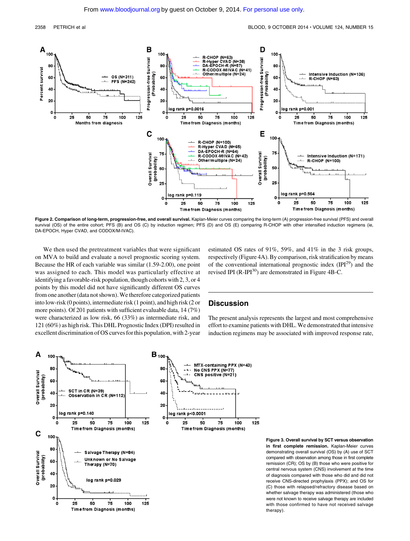

Figure 2. Comparison of long-term, progression-free, and overall survival. Kaplan-Meier curves comparing the long-term (A) progression-free survival (PFS) and overall survival (OS) of the entire cohort; PFS (B) and OS (C) by induction regimen; PFS (D) and OS (E) comparing R-CHOP with other intensified induction regimens (ie, DA-EPOCH, Hyper CVAD, and CODOX/M-IVAC).

We then used the pretreatment variables that were significant on MVA to build and evaluate a novel prognostic scoring system. Because the HR of each variable was similar (1.59-2.00), one point was assigned to each. This model was particularly effective at identifying a favorable-risk population, though cohorts with 2, 3, or 4 points by this model did not have significantly different OS curves from one another (data not shown). We therefore categorized patients into low-risk (0 points), intermediate risk (1 point), and high risk (2 or more points). Of 201 patients with sufficient evaluable data, 14 (7%) were characterized as low risk, 66 (33%) as intermediate risk, and 121 (60%) as high risk. This DHL Prognostic Index (DPI) resulted in excellent discrimination of OS curves for this population, with 2-year

estimated OS rates of 91%, 59%, and 41% in the 3 risk groups, respectively (Figure 4A). By comparison, risk stratification by means of the conventional international prognostic index  $(\text{IPI}^{29})$  and the revised IPI  $(R-IPI^{30})$  are demonstrated in Figure 4B-C.

### **Discussion**

The present analysis represents the largest and most comprehensive effort to examine patients with DHL. We demonstrated that intensive induction regimens may be associated with improved response rate,



Figure 3. Overall survival by SCT versus observation in first complete remission. Kaplan-Meier curves demonstrating overall survival (OS) by (A) use of SCT compared with observation among those in first complete remission (CR); OS by (B) those who were positive for central nervous system (CNS) involvement at the time of diagnosis compared with those who did and did not receive CNS-directed prophylaxis (PPX); and OS for (C) those with relapsed/refractory disease based on whether salvage therapy was administered (those who were not known to receive salvage therapy are included with those confirmed to have not received salvage therapy).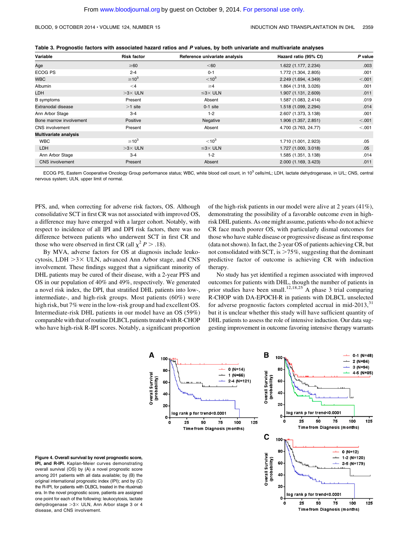| Table 3. Prognostic factors with associated hazard ratios and P values, by both univariate and multivariate analyses |
|----------------------------------------------------------------------------------------------------------------------|
|----------------------------------------------------------------------------------------------------------------------|

| Variable                | <b>Risk factor</b> | Reference univariate analysis | Hazard ratio (95% CI) | P value |
|-------------------------|--------------------|-------------------------------|-----------------------|---------|
| Age                     | $\geq 60$          | < 60                          | 1.622 (1.177, 2.234)  | .003    |
| ECOG PS                 | $2 - 4$            | $0 - 1$                       | 1.772 (1.304, 2.805)  | .001    |
| <b>WBC</b>              | $\geq 10^3$        | $< 10^{3}$                    | 2.249 (1.694, 4.349)  | < .001  |
| Albumin                 | $\leq 4$           | $\geq 4$                      | 1.864 (1.318, 3.026)  | .001    |
| LDH                     | $>3\times$ ULN     | $\leq 3 \times$ ULN           | 1.907 (1.131, 2.609)  | .011    |
| <b>B</b> symptoms       | Present            | Absent                        | 1.587 (1.083, 2.414)  | .019    |
| Extranodal disease      | $>1$ site          | $0-1$ site                    | 1.518 (1.099, 2.294)  | .014    |
| Ann Arbor Stage         | $3 - 4$            | $1 - 2$                       | 2.607 (1.373, 3.138)  | .001    |
| Bone marrow involvement | Positive           | Negative                      | 1.906 (1.357, 2.851)  | < .001  |
| CNS involvement         | Present            | Absent                        | 4.700 (3.763, 24.77)  | < 0.001 |
| Multivariate analysis   |                    |                               |                       |         |
| <b>WBC</b>              | $\geq 10^3$        | $< 10^{3}$                    | 1.710 (1.001, 2.923)  | .05     |
| <b>LDH</b>              | $>3\times$ ULN     | $\leq 3 \times$ ULN           | 1.727 (1.000, 3.018)  | .05     |
| Ann Arbor Stage         | $3 - 4$            | $1 - 2$                       | 1.585 (1.351, 3.138)  | .014    |
| <b>CNS</b> involvement  | Present            | Absent                        | 2.000 (1.169, 3.423)  | .011    |

ECOG PS, Eastern Cooperative Oncology Group performance status; WBC, white blood cell count, in 10<sup>3</sup> cells/mL; LDH, lactate dehydrogenase, in U/L; CNS, central nervous system; ULN, upper limit of normal.

PFS, and, when correcting for adverse risk factors, OS. Although consolidative SCT in first CR was not associated with improved OS, a difference may have emerged with a larger cohort. Notably, with respect to incidence of all IPI and DPI risk factors, there was no difference between patients who underwent SCT in first CR and those who were observed in first CR (all  $\chi^2 P > .18$ ).

By MVA, adverse factors for OS at diagnosis include leukocytosis, LDH  $>3\times$  ULN, advanced Ann Arbor stage, and CNS involvement. These findings suggest that a significant minority of DHL patients may be cured of their disease, with a 2-year PFS and OS in our population of 40% and 49%, respectively. We generated a novel risk index, the DPI, that stratified DHL patients into low-, intermediate-, and high-risk groups. Most patients (60%) were high risk, but 7% were in the low-risk group and had excellent OS. Intermediate-risk DHL patients in our model have an OS (59%) comparable with that of routine DLBCL patients treated with R-CHOP who have high-risk R-IPI scores. Notably, a significant proportion of the high-risk patients in our model were alive at 2 years (41%), demonstrating the possibility of a favorable outcome even in highrisk DHL patients. As one might assume, patients who do not achieve CR face much poorer OS, with particularly dismal outcomes for those who have stable disease or progressive disease as first response (data not shown). In fact, the 2-year OS of patients achieving CR, but not consolidated with SCT, is  $>75\%$ , suggesting that the dominant predictive factor of outcome is achieving CR with induction therapy.

No study has yet identified a regimen associated with improved outcomes for patients with DHL, though the number of patients in prior studies have been small.<sup>12,18,25</sup> A phase 3 trial comparing R-CHOP with DA-EPOCH-R in patients with DLBCL unselected for adverse prognostic factors completed accrual in mid-2013, $31$ but it is unclear whether this study will have sufficient quantity of DHL patients to assess the role of intensive induction. Our data suggesting improvement in outcome favoring intensive therapy warrants



Figure 4. Overall survival by novel prognostic score, IPI, and R-IPI. Kaplan-Meier curves demonstrating overall survival (OS) by (A) a novel prognostic score among 201 patients with all data available; by (B) the original international prognostic index (IPI); and by (C) the R-IPI, for patients with DLBCL treated in the rituximab era. In the novel prognostic score, patients are assigned one point for each of the following: leukocytosis, lactate dehydrogenase  $>3\times$  ULN, Ann Arbor stage 3 or 4 disease, and CNS involvement.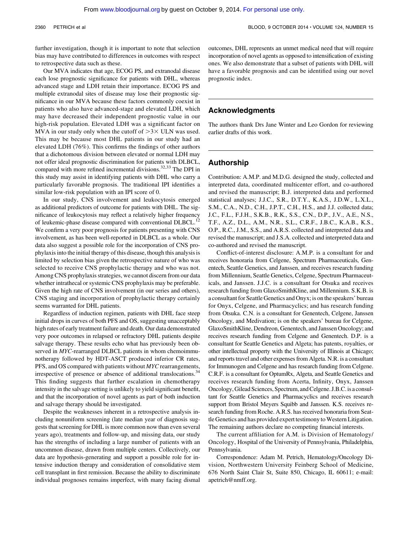further investigation, though it is important to note that selection bias may have contributed to differences in outcomes with respect to retrospective data such as these.

Our MVA indicates that age, ECOG PS, and extranodal disease each lose prognostic significance for patients with DHL, whereas advanced stage and LDH retain their importance. ECOG PS and multiple extranodal sites of disease may lose their prognostic significance in our MVA because these factors commonly coexist in patients who also have advanced-stage and elevated LDH, which may have decreased their independent prognostic value in our high-risk population. Elevated LDH was a significant factor on MVA in our study only when the cutoff of  $>3\times$  ULN was used. This may be because most DHL patients in our study had an elevated LDH (76%). This confirms the findings of other authors that a dichotomous division between elevated or normal LDH may not offer ideal prognostic discrimination for patients with DLBCL, compared with more refined incremental divisions.<sup>32,33</sup> The DPI in this study may assist in identifying patients with DHL who carry a particularly favorable prognosis. The traditional IPI identifies a similar low-risk population with an IPI score of 0.

In our study, CNS involvement and leukocytosis emerged as additional predictors of outcome for patients with DHL. The significance of leukocytosis may reflect a relatively higher frequency of leukemic-phase disease compared with conventional DLBCL.<sup>12</sup> We confirm a very poor prognosis for patients presenting with CNS involvement, as has been well-reported in DLBCL as a whole. Our data also suggest a possible role for the incorporation of CNS prophylaxis into the initial therapy of this disease, though this analysis is limited by selection bias given the retrospective nature of who was selected to receive CNS prophylactic therapy and who was not. Among CNS prophylaxis strategies, we cannot discern from our data whether intrathecal or systemic CNS prophylaxis may be preferable. Given the high rate of CNS involvement (in our series and others), CNS staging and incorporation of prophylactic therapy certainly seems warranted for DHL patients.

Regardless of induction regimen, patients with DHL face steep initial drops in curves of both PFS and OS, suggesting unacceptably high rates of early treatment failure and death. Our data demonstrated very poor outcomes in relapsed or refractory DHL patients despite salvage therapy. These results echo what has previously been observed in *MYC*-rearranged DLBCL patients in whom chemoimmunotherapy followed by HDT-ASCT produced inferior CR rates, PFS, and OS compared with patients without MYC rearrangements, irrespective of presence or absence of additional translocations.<sup>34</sup> This finding suggests that further escalation in chemotherapy intensity in the salvage setting is unlikely to yield significant benefit, and that the incorporation of novel agents as part of both induction and salvage therapy should be investigated.

Despite the weaknesses inherent in a retrospective analysis including nonuniform screening (late median year of diagnosis suggests that screening for DHL is more common now than even several years ago), treatments and follow-up, and missing data, our study has the strengths of including a large number of patients with an uncommon disease, drawn from multiple centers. Collectively, our data are hypothesis-generating and support a possible role for intensive induction therapy and consideration of consolidative stem cell transplant in first remission. Because the ability to discriminate individual prognoses remains imperfect, with many facing dismal

outcomes, DHL represents an unmet medical need that will require incorporation of novel agents as opposed to intensification of existing ones. We also demonstrate that a subset of patients with DHL will have a favorable prognosis and can be identified using our novel prognostic index.

### Acknowledgments

The authors thank Drs Jane Winter and Leo Gordon for reviewing earlier drafts of this work.

### Authorship

Contribution: A.M.P. and M.D.G. designed the study, collected and interpreted data, coordinated multicenter effort, and co-authored and revised the manuscript; B.J. interpreted data and performed statistical analyses; J.J.C., S.R., D.T.Y., K.A.S., J.D.W., L.X.L., S.M., C.A., N.D., C.H., J.P.T., C.H., H.S., and J.J. collected data; J.C., F.L., F.J.H., S.K.B., R.K., S.S., C.N., D.P., J.V., A.E., N.S., T.F., A.Z., D.L., A.M., N.R., S.L., C.R.F., J.B.C., K.A.B., K.S., O.P., R.C., J.M., S.S., and A.R.S. collected and interpreted data and revised the manuscript; and J.S.A. collected and interpreted data and co-authored and revised the manuscript.

Conflict-of-interest disclosure: A.M.P. is a consultant for and receives honoraria from Celgene, Spectrum Pharmaceuticals, Genentech, Seattle Genetics, and Janssen, and receives research funding from Millennium, Seattle Genetics, Celgene, Spectrum Pharmaceuticals, and Janssen. J.J.C. is a consultant for Otsuka and receives research funding from GlaxoSmithKline, and Millennium. S.K.B. is a consultant for Seattle Genetics and Onyx; is on the speakers' bureau for Onyx, Celgene, and Pharmacyclics; and has research funding from Otsuka. C.N. is a consultant for Genentech, Celgene, Janssen Oncology, and Medivation; is on the speakers' bureau for Celgene, GlaxoSmithKline, Dendreon, Genentech, and Janssen Oncology; and receives research funding from Celgene and Genentech. D.P. is a consultant for Seattle Genetics and Algeta; has patents, royalties, or other intellectual property with the University of Illinois at Chicago; and reports travel and other expenses from Algeta. N.R. is a consultant for Immunogen and Celgene and has research funding from Celgene. C.R.F. is a consultant for OptumRx, Algeta, and Seattle Genetics and receives research funding from Acerta, Infinity, Onyx, Janssen Oncology, Gilead Sciences, Spectrum, and Celgene. J.B.C.is a consultant for Seattle Genetics and Pharmacyclics and receives research support from Bristol Meyers Squibb and Janssen. K.S. receives research funding from Roche. A.R.S. has received honoraria from Seattle Genetics and has provided expert testimony to Western Litigation. The remaining authors declare no competing financial interests.

The current affiliation for A.M. is Division of Hematology/ Oncology, Hospital of the University of Pennsylvania, Philadelphia, Pennsylvania.

Correspondence: Adam M. Petrich, Hematology/Oncology Division, Northwestern University Feinberg School of Medicine, 676 North Saint Clair St, Suite 850, Chicago, IL 60611; e-mail: [apetrich@nmff.org.](mailto:apetrich@nmff.org)